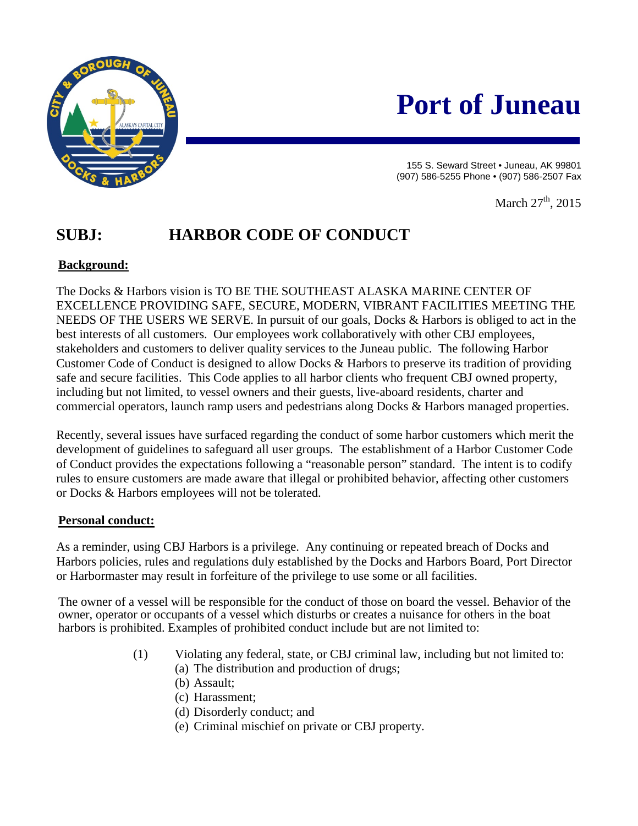

# **Port of Juneau**

155 S. Seward Street • Juneau, AK 99801 (907) 586-5255 Phone • (907) 586-2507 Fax

March  $27<sup>th</sup>$ , 2015

# **SUBJ: HARBOR CODE OF CONDUCT**

## **Background:**

The Docks & Harbors vision is TO BE THE SOUTHEAST ALASKA MARINE CENTER OF EXCELLENCE PROVIDING SAFE, SECURE, MODERN, VIBRANT FACILITIES MEETING THE NEEDS OF THE USERS WE SERVE. In pursuit of our goals, Docks & Harbors is obliged to act in the best interests of all customers. Our employees work collaboratively with other CBJ employees, stakeholders and customers to deliver quality services to the Juneau public. The following Harbor Customer Code of Conduct is designed to allow Docks & Harbors to preserve its tradition of providing safe and secure facilities. This Code applies to all harbor clients who frequent CBJ owned property, including but not limited, to vessel owners and their guests, live-aboard residents, charter and commercial operators, launch ramp users and pedestrians along Docks & Harbors managed properties.

Recently, several issues have surfaced regarding the conduct of some harbor customers which merit the development of guidelines to safeguard all user groups. The establishment of a Harbor Customer Code of Conduct provides the expectations following a "reasonable person" standard. The intent is to codify rules to ensure customers are made aware that illegal or prohibited behavior, affecting other customers or Docks & Harbors employees will not be tolerated.

### **Personal conduct:**

As a reminder, using CBJ Harbors is a privilege. Any continuing or repeated breach of Docks and Harbors policies, rules and regulations duly established by the Docks and Harbors Board, Port Director or Harbormaster may result in forfeiture of the privilege to use some or all facilities.

The owner of a vessel will be responsible for the conduct of those on board the vessel. Behavior of the owner, operator or occupants of a vessel which disturbs or creates a nuisance for others in the boat harbors is prohibited. Examples of prohibited conduct include but are not limited to:

- (1) Violating any federal, state, or CBJ criminal law, including but not limited to:
	- (a) The distribution and production of drugs;
	- (b) Assault;
	- (c) Harassment;
	- (d) Disorderly conduct; and
	- (e) Criminal mischief on private or CBJ property.